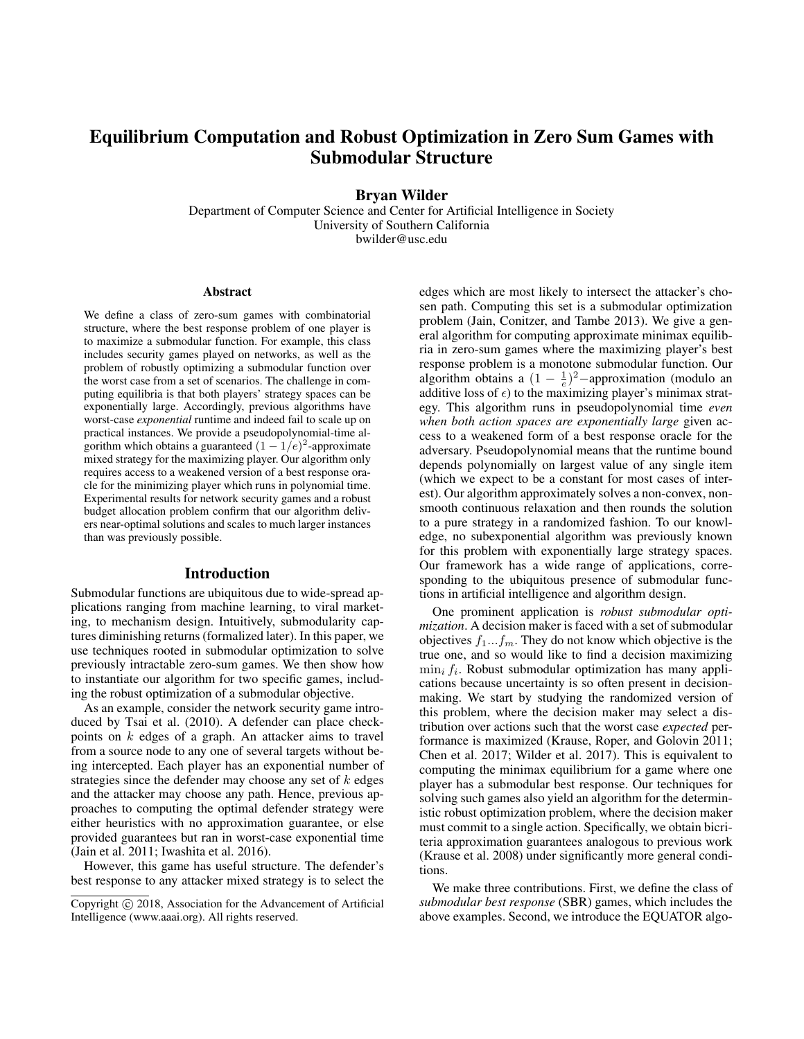# Equilibrium Computation and Robust Optimization in Zero Sum Games with Submodular Structure

Bryan Wilder

Department of Computer Science and Center for Artificial Intelligence in Society University of Southern California bwilder@usc.edu

#### Abstract

We define a class of zero-sum games with combinatorial structure, where the best response problem of one player is to maximize a submodular function. For example, this class includes security games played on networks, as well as the problem of robustly optimizing a submodular function over the worst case from a set of scenarios. The challenge in computing equilibria is that both players' strategy spaces can be exponentially large. Accordingly, previous algorithms have worst-case *exponential* runtime and indeed fail to scale up on practical instances. We provide a pseudopolynomial-time algorithm which obtains a guaranteed  $(1 - 1/e)^2$ -approximate mixed strategy for the maximizing player. Our algorithm only requires access to a weakened version of a best response oracle for the minimizing player which runs in polynomial time. Experimental results for network security games and a robust budget allocation problem confirm that our algorithm delivers near-optimal solutions and scales to much larger instances than was previously possible.

#### Introduction

Submodular functions are ubiquitous due to wide-spread applications ranging from machine learning, to viral marketing, to mechanism design. Intuitively, submodularity captures diminishing returns (formalized later). In this paper, we use techniques rooted in submodular optimization to solve previously intractable zero-sum games. We then show how to instantiate our algorithm for two specific games, including the robust optimization of a submodular objective.

As an example, consider the network security game introduced by Tsai et al. (2010). A defender can place checkpoints on  $k$  edges of a graph. An attacker aims to travel from a source node to any one of several targets without being intercepted. Each player has an exponential number of strategies since the defender may choose any set of  $k$  edges and the attacker may choose any path. Hence, previous approaches to computing the optimal defender strategy were either heuristics with no approximation guarantee, or else provided guarantees but ran in worst-case exponential time (Jain et al. 2011; Iwashita et al. 2016).

However, this game has useful structure. The defender's best response to any attacker mixed strategy is to select the edges which are most likely to intersect the attacker's chosen path. Computing this set is a submodular optimization problem (Jain, Conitzer, and Tambe 2013). We give a general algorithm for computing approximate minimax equilibria in zero-sum games where the maximizing player's best response problem is a monotone submodular function. Our algorithm obtains a  $(1 - \frac{1}{e})^2$  -approximation (modulo an additive loss of  $\epsilon$ ) to the maximizing player's minimax strategy. This algorithm runs in pseudopolynomial time *even when both action spaces are exponentially large* given access to a weakened form of a best response oracle for the adversary. Pseudopolynomial means that the runtime bound depends polynomially on largest value of any single item (which we expect to be a constant for most cases of interest). Our algorithm approximately solves a non-convex, nonsmooth continuous relaxation and then rounds the solution to a pure strategy in a randomized fashion. To our knowledge, no subexponential algorithm was previously known for this problem with exponentially large strategy spaces. Our framework has a wide range of applications, corresponding to the ubiquitous presence of submodular functions in artificial intelligence and algorithm design.

One prominent application is *robust submodular optimization*. A decision maker is faced with a set of submodular objectives  $f_1...f_m$ . They do not know which objective is the true one, and so would like to find a decision maximizing  $\min_i f_i$ . Robust submodular optimization has many applications because uncertainty is so often present in decisionmaking. We start by studying the randomized version of this problem, where the decision maker may select a distribution over actions such that the worst case *expected* performance is maximized (Krause, Roper, and Golovin 2011; Chen et al. 2017; Wilder et al. 2017). This is equivalent to computing the minimax equilibrium for a game where one player has a submodular best response. Our techniques for solving such games also yield an algorithm for the deterministic robust optimization problem, where the decision maker must commit to a single action. Specifically, we obtain bicriteria approximation guarantees analogous to previous work (Krause et al. 2008) under significantly more general conditions.

We make three contributions. First, we define the class of *submodular best response* (SBR) games, which includes the above examples. Second, we introduce the EQUATOR algo-

Copyright (c) 2018, Association for the Advancement of Artificial Intelligence (www.aaai.org). All rights reserved.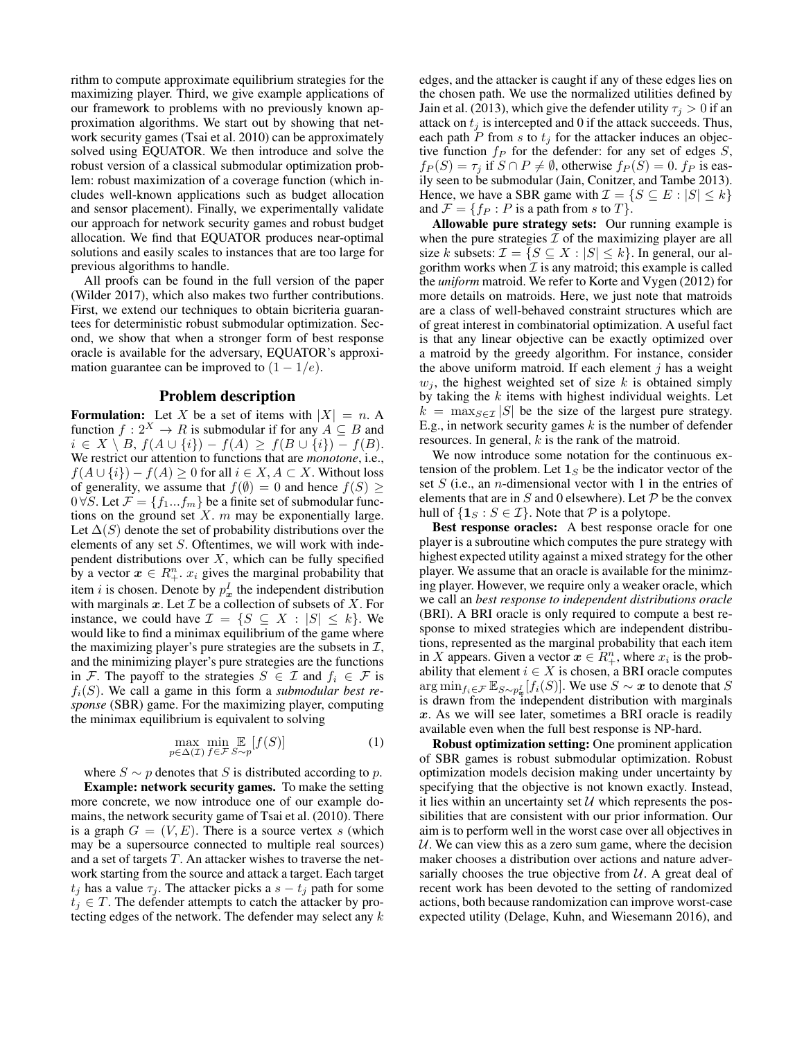rithm to compute approximate equilibrium strategies for the maximizing player. Third, we give example applications of our framework to problems with no previously known approximation algorithms. We start out by showing that network security games (Tsai et al. 2010) can be approximately solved using EQUATOR. We then introduce and solve the robust version of a classical submodular optimization problem: robust maximization of a coverage function (which includes well-known applications such as budget allocation and sensor placement). Finally, we experimentally validate our approach for network security games and robust budget allocation. We find that EQUATOR produces near-optimal solutions and easily scales to instances that are too large for previous algorithms to handle.

All proofs can be found in the full version of the paper (Wilder 2017), which also makes two further contributions. First, we extend our techniques to obtain bicriteria guarantees for deterministic robust submodular optimization. Second, we show that when a stronger form of best response oracle is available for the adversary, EQUATOR's approximation guarantee can be improved to  $(1 - 1/e)$ .

## Problem description

**Formulation:** Let X be a set of items with  $|X| = n$ . A function  $f: 2^X \to R$  is submodular if for any  $A \subseteq B$  and  $i \in X \setminus B$ ,  $f(A \cup \{i\}) - f(A) \ge f(B \cup \{i\}) - f(B)$ . We restrict our attention to functions that are *monotone*, i.e.,  $f(A \cup \{i\}) - f(A) \geq 0$  for all  $i \in X, A \subset X$ . Without loss of generality, we assume that  $f(\emptyset) = 0$  and hence  $f(S) \geq$  $0 \forall S$ . Let  $\mathcal{F} = \{f_1...f_m\}$  be a finite set of submodular functions on the ground set  $X$ .  $m$  may be exponentially large. Let  $\Delta(S)$  denote the set of probability distributions over the elements of any set S. Oftentimes, we will work with independent distributions over  $X$ , which can be fully specified by a vector  $x \in R_+^n$ .  $x_i$  gives the marginal probability that item *i* is chosen. Denote by  $p_x^I$  the independent distribution with marginals  $x$ . Let  $\mathcal I$  be a collection of subsets of  $X$ . For instance, we could have  $\mathcal{I} = \{S \subseteq X : |S| \leq k\}$ . We would like to find a minimax equilibrium of the game where the maximizing player's pure strategies are the subsets in  $\mathcal{I}$ , and the minimizing player's pure strategies are the functions in F. The payoff to the strategies  $S \in \mathcal{I}$  and  $f_i \in \mathcal{F}$  is  $f_i(S)$ . We call a game in this form a *submodular best response* (SBR) game. For the maximizing player, computing the minimax equilibrium is equivalent to solving

$$
\max_{p \in \Delta(\mathcal{I})} \min_{f \in \mathcal{F}} \mathop{\mathbb{E}}_{S \sim p} [f(S)] \tag{1}
$$

where  $S \sim p$  denotes that S is distributed according to p. Example: network security games. To make the setting more concrete, we now introduce one of our example domains, the network security game of Tsai et al. (2010). There is a graph  $G = (V, E)$ . There is a source vertex s (which may be a supersource connected to multiple real sources) and a set of targets  $T$ . An attacker wishes to traverse the network starting from the source and attack a target. Each target  $t_i$  has a value  $\tau_i$ . The attacker picks a  $s - t_i$  path for some  $t_i \in T$ . The defender attempts to catch the attacker by protecting edges of the network. The defender may select any k edges, and the attacker is caught if any of these edges lies on the chosen path. We use the normalized utilities defined by Jain et al. (2013), which give the defender utility  $\tau_i > 0$  if an attack on  $t_i$  is intercepted and 0 if the attack succeeds. Thus, each path P from s to  $t_j$  for the attacker induces an objective function  $f_P$  for the defender: for any set of edges  $S$ ,  $f_P(S) = \tau_j$  if  $S \cap P \neq \emptyset$ , otherwise  $f_P(S) = 0$ .  $f_P$  is easily seen to be submodular (Jain, Conitzer, and Tambe 2013). Hence, we have a SBR game with  $\mathcal{I} = \{ S \subseteq E : |S| \le k \}$ and  $\mathcal{F} = \{f_P : P \text{ is a path from } s \text{ to } T\}.$ 

Allowable pure strategy sets: Our running example is when the pure strategies  $\mathcal I$  of the maximizing player are all size k subsets:  $\mathcal{I} = \{ S \subseteq X : |S| \le k \}$ . In general, our algorithm works when  $\mathcal I$  is any matroid; this example is called the *uniform* matroid. We refer to Korte and Vygen (2012) for more details on matroids. Here, we just note that matroids are a class of well-behaved constraint structures which are of great interest in combinatorial optimization. A useful fact is that any linear objective can be exactly optimized over a matroid by the greedy algorithm. For instance, consider the above uniform matroid. If each element  $j$  has a weight  $w_j$ , the highest weighted set of size k is obtained simply by taking the  $k$  items with highest individual weights. Let  $k = \max_{S \in \mathcal{I}} |S|$  be the size of the largest pure strategy. E.g., in network security games  $k$  is the number of defender resources. In general,  $k$  is the rank of the matroid.

We now introduce some notation for the continuous extension of the problem. Let  $\mathbf{1}_S$  be the indicator vector of the set  $S$  (i.e., an *n*-dimensional vector with 1 in the entries of elements that are in  $S$  and 0 elsewhere). Let  $P$  be the convex hull of  $\{1_S : S \in \mathcal{I}\}\$ . Note that  $\mathcal P$  is a polytope.

Best response oracles: A best response oracle for one player is a subroutine which computes the pure strategy with highest expected utility against a mixed strategy for the other player. We assume that an oracle is available for the minimzing player. However, we require only a weaker oracle, which we call an *best response to independent distributions oracle* (BRI). A BRI oracle is only required to compute a best response to mixed strategies which are independent distributions, represented as the marginal probability that each item in X appears. Given a vector  $x \in R_+^n$ , where  $x_i$  is the probability that element  $i \in X$  is chosen, a BRI oracle computes  $\arg \min_{f_i \in \mathcal{F}} \mathbb{E}_{S \sim p_{\bm{x}}^I}[f_i(S)]$ . We use  $S \sim \bm{x}$  to denote that  $S$ is drawn from the independent distribution with marginals  $x$ . As we will see later, sometimes a BRI oracle is readily available even when the full best response is NP-hard.

Robust optimization setting: One prominent application of SBR games is robust submodular optimization. Robust optimization models decision making under uncertainty by specifying that the objective is not known exactly. Instead, it lies within an uncertainty set  $U$  which represents the possibilities that are consistent with our prior information. Our aim is to perform well in the worst case over all objectives in  $U$ . We can view this as a zero sum game, where the decision maker chooses a distribution over actions and nature adversarially chooses the true objective from  $U$ . A great deal of recent work has been devoted to the setting of randomized actions, both because randomization can improve worst-case expected utility (Delage, Kuhn, and Wiesemann 2016), and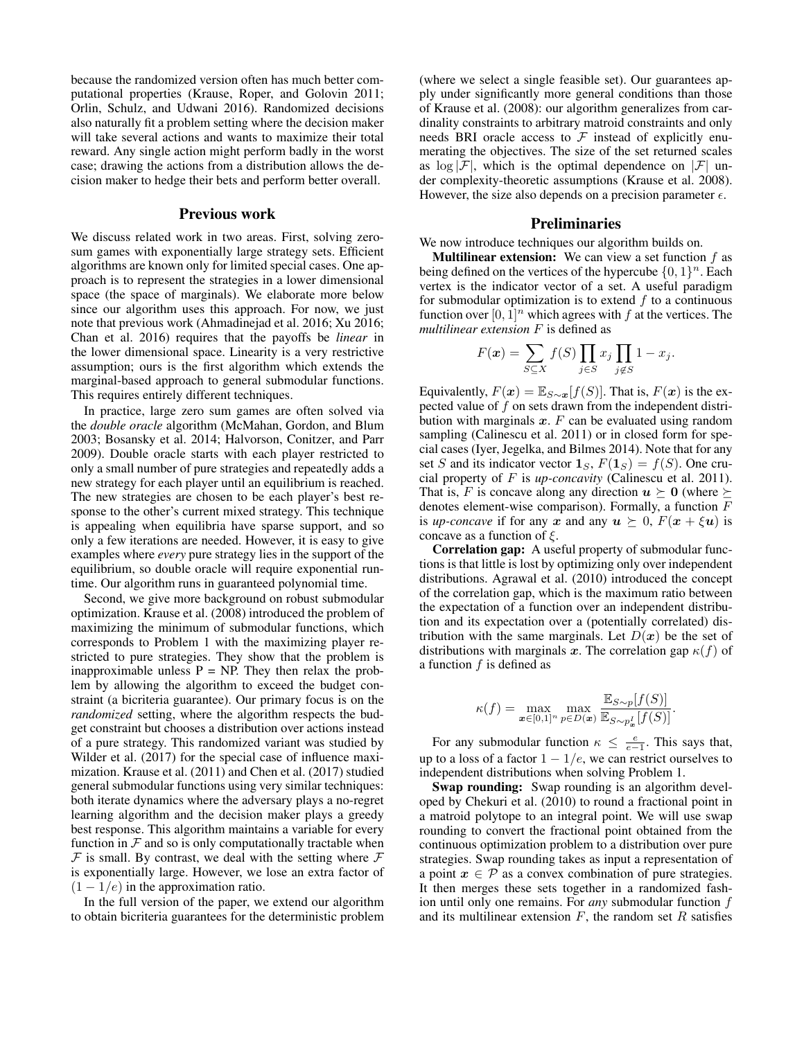because the randomized version often has much better computational properties (Krause, Roper, and Golovin 2011; Orlin, Schulz, and Udwani 2016). Randomized decisions also naturally fit a problem setting where the decision maker will take several actions and wants to maximize their total reward. Any single action might perform badly in the worst case; drawing the actions from a distribution allows the decision maker to hedge their bets and perform better overall.

#### Previous work

We discuss related work in two areas. First, solving zerosum games with exponentially large strategy sets. Efficient algorithms are known only for limited special cases. One approach is to represent the strategies in a lower dimensional space (the space of marginals). We elaborate more below since our algorithm uses this approach. For now, we just note that previous work (Ahmadinejad et al. 2016; Xu 2016; Chan et al. 2016) requires that the payoffs be *linear* in the lower dimensional space. Linearity is a very restrictive assumption; ours is the first algorithm which extends the marginal-based approach to general submodular functions. This requires entirely different techniques.

In practice, large zero sum games are often solved via the *double oracle* algorithm (McMahan, Gordon, and Blum 2003; Bosansky et al. 2014; Halvorson, Conitzer, and Parr 2009). Double oracle starts with each player restricted to only a small number of pure strategies and repeatedly adds a new strategy for each player until an equilibrium is reached. The new strategies are chosen to be each player's best response to the other's current mixed strategy. This technique is appealing when equilibria have sparse support, and so only a few iterations are needed. However, it is easy to give examples where *every* pure strategy lies in the support of the equilibrium, so double oracle will require exponential runtime. Our algorithm runs in guaranteed polynomial time.

Second, we give more background on robust submodular optimization. Krause et al. (2008) introduced the problem of maximizing the minimum of submodular functions, which corresponds to Problem 1 with the maximizing player restricted to pure strategies. They show that the problem is inapproximable unless  $P = NP$ . They then relax the problem by allowing the algorithm to exceed the budget constraint (a bicriteria guarantee). Our primary focus is on the *randomized* setting, where the algorithm respects the budget constraint but chooses a distribution over actions instead of a pure strategy. This randomized variant was studied by Wilder et al. (2017) for the special case of influence maximization. Krause et al. (2011) and Chen et al. (2017) studied general submodular functions using very similar techniques: both iterate dynamics where the adversary plays a no-regret learning algorithm and the decision maker plays a greedy best response. This algorithm maintains a variable for every function in  $F$  and so is only computationally tractable when  $F$  is small. By contrast, we deal with the setting where  $F$ is exponentially large. However, we lose an extra factor of  $(1 - 1/e)$  in the approximation ratio.

In the full version of the paper, we extend our algorithm to obtain bicriteria guarantees for the deterministic problem (where we select a single feasible set). Our guarantees apply under significantly more general conditions than those of Krause et al. (2008): our algorithm generalizes from cardinality constraints to arbitrary matroid constraints and only needs BRI oracle access to  $\mathcal F$  instead of explicitly enumerating the objectives. The size of the set returned scales as  $\log |\mathcal{F}|$ , which is the optimal dependence on  $|\mathcal{F}|$  under complexity-theoretic assumptions (Krause et al. 2008). However, the size also depends on a precision parameter  $\epsilon$ .

## Preliminaries

We now introduce techniques our algorithm builds on.

**Multilinear extension:** We can view a set function  $f$  as being defined on the vertices of the hypercube  $\{0, 1\}^n$ . Each vertex is the indicator vector of a set. A useful paradigm for submodular optimization is to extend  $f$  to a continuous function over  $[0, 1]^n$  which agrees with f at the vertices. The *multilinear extension* F is defined as

$$
F(\boldsymbol{x}) = \sum_{S \subseteq X} f(S) \prod_{j \in S} x_j \prod_{j \notin S} 1 - x_j.
$$

Equivalently,  $F(\mathbf{x}) = \mathbb{E}_{S \sim \mathbf{x}}[f(S)]$ . That is,  $F(\mathbf{x})$  is the expected value of  $f$  on sets drawn from the independent distribution with marginals  $x$ .  $F$  can be evaluated using random sampling (Calinescu et al. 2011) or in closed form for special cases (Iyer, Jegelka, and Bilmes 2014). Note that for any set S and its indicator vector  $\mathbf{1}_S$ ,  $F(\mathbf{1}_S) = f(S)$ . One crucial property of F is *up-concavity* (Calinescu et al. 2011). That is, F is concave along any direction  $u \succeq 0$  (where  $\succeq$ denotes element-wise comparison). Formally, a function  $F$ is *up-concave* if for any x and any  $u > 0$ ,  $F(x + \xi u)$  is concave as a function of  $\xi$ .

Correlation gap: A useful property of submodular functions is that little is lost by optimizing only over independent distributions. Agrawal et al. (2010) introduced the concept of the correlation gap, which is the maximum ratio between the expectation of a function over an independent distribution and its expectation over a (potentially correlated) distribution with the same marginals. Let  $D(x)$  be the set of distributions with marginals x. The correlation gap  $\kappa(f)$  of a function  $f$  is defined as

$$
\kappa(f) = \max_{\mathbf{x} \in [0,1]^n} \max_{p \in D(\mathbf{x})} \frac{\mathbb{E}_{S \sim p}[f(S)]}{\mathbb{E}_{S \sim p_{\mathbf{x}}^I}[f(S)]}.
$$

For any submodular function  $\kappa \leq \frac{e}{e-1}$ . This says that, up to a loss of a factor  $1 - 1/e$ , we can restrict ourselves to independent distributions when solving Problem 1.

Swap rounding: Swap rounding is an algorithm developed by Chekuri et al. (2010) to round a fractional point in a matroid polytope to an integral point. We will use swap rounding to convert the fractional point obtained from the continuous optimization problem to a distribution over pure strategies. Swap rounding takes as input a representation of a point  $x \in \mathcal{P}$  as a convex combination of pure strategies. It then merges these sets together in a randomized fashion until only one remains. For *any* submodular function f and its multilinear extension  $F$ , the random set  $R$  satisfies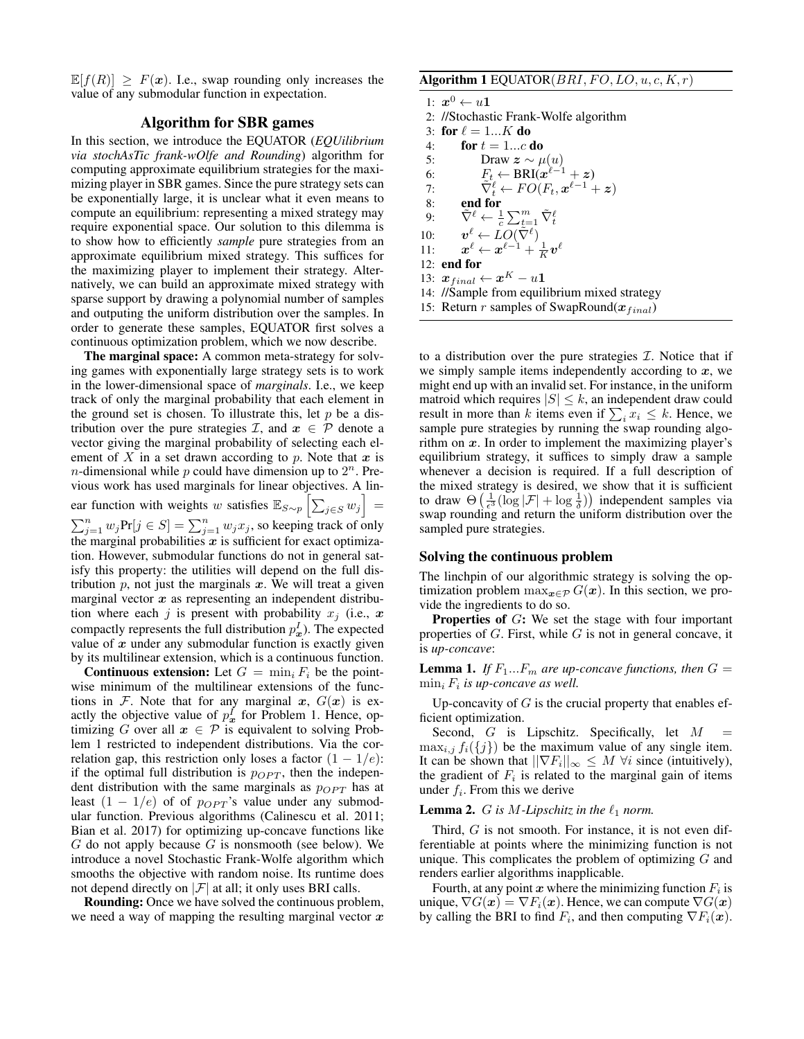$\mathbb{E}[f(R)] > F(\mathbf{x})$ . I.e., swap rounding only increases the value of any submodular function in expectation.

# Algorithm for SBR games

In this section, we introduce the EQUATOR (*EQUilibrium via stochAsTic frank-wOlfe and Rounding*) algorithm for computing approximate equilibrium strategies for the maximizing player in SBR games. Since the pure strategy sets can be exponentially large, it is unclear what it even means to compute an equilibrium: representing a mixed strategy may require exponential space. Our solution to this dilemma is to show how to efficiently *sample* pure strategies from an approximate equilibrium mixed strategy. This suffices for the maximizing player to implement their strategy. Alternatively, we can build an approximate mixed strategy with sparse support by drawing a polynomial number of samples and outputing the uniform distribution over the samples. In order to generate these samples, EQUATOR first solves a continuous optimization problem, which we now describe.

The marginal space: A common meta-strategy for solving games with exponentially large strategy sets is to work in the lower-dimensional space of *marginals*. I.e., we keep track of only the marginal probability that each element in the ground set is chosen. To illustrate this, let  $p$  be a distribution over the pure strategies  $\mathcal{I}$ , and  $x \in \mathcal{P}$  denote a vector giving the marginal probability of selecting each element of X in a set drawn according to p. Note that x is *n*-dimensional while p could have dimension up to  $2^n$ . Previous work has used marginals for linear objectives. A linear function with weights w satisfies  $\mathbb{E}_{S \sim p} \left[ \sum_{j \in S} w_j \right] =$  $\sum_{j=1}^{n} w_j \text{Pr}[j \in S] = \sum_{j=1}^{n} w_j x_j$ , so keeping track of only the marginal probabilities  $x$  is sufficient for exact optimization. However, submodular functions do not in general satisfy this property: the utilities will depend on the full distribution  $p$ , not just the marginals  $x$ . We will treat a given marginal vector  $x$  as representing an independent distribution where each j is present with probability  $x_i$  (i.e., x compactly represents the full distribution  $p_x^I$ ). The expected value of  $x$  under any submodular function is exactly given by its multilinear extension, which is a continuous function.

**Continuous extension:** Let  $G = \min_i F_i$  be the pointwise minimum of the multilinear extensions of the functions in F. Note that for any marginal x,  $G(x)$  is exactly the objective value of  $p_x^I$  for Problem 1. Hence, optimizing G over all  $x \in \mathcal{P}$  is equivalent to solving Problem 1 restricted to independent distributions. Via the correlation gap, this restriction only loses a factor  $(1 - 1/e)$ : if the optimal full distribution is  $p_{OPT}$ , then the independent distribution with the same marginals as  $p_{OPT}$  has at least  $(1 - 1/e)$  of of  $p_{OPT}$ 's value under any submodular function. Previous algorithms (Calinescu et al. 2011; Bian et al. 2017) for optimizing up-concave functions like  $G$  do not apply because  $G$  is nonsmooth (see below). We introduce a novel Stochastic Frank-Wolfe algorithm which smooths the objective with random noise. Its runtime does not depend directly on  $|\mathcal{F}|$  at all; it only uses BRI calls.

Rounding: Once we have solved the continuous problem, we need a way of mapping the resulting marginal vector  $x$ 

# Algorithm 1 EQUATOR( $BRI, FO, LO, u, c, K, r$ )

1:  $x^0 \leftarrow u \mathbf{1}$ 2: //Stochastic Frank-Wolfe algorithm 3: for  $\ell = 1...K$  do 4: **for**  $t = 1...c$  **do** 5: Draw  $z \sim \mu(u)$ 6:  $F_t \leftarrow \text{BRI}(x^{\ell-1} + z)$ 7:  $\tilde{\nabla}_t^{\ell} \leftarrow FO(F_t, \boldsymbol{x}^{\ell-1} + \boldsymbol{z})$ 8: end for 9:  $\tilde{\nabla}^{\ell} \leftarrow \frac{1}{c} \sum_{t=1}^{m} \tilde{\nabla}_{t}^{\ell}$ 10:  $\boldsymbol{v}^{\ell} \leftarrow \text{LO}(\tilde{\nabla}^{\ell})$  $11:$  $\frac{\ell}{K} \leftarrow \boldsymbol{x}^{\ell-1} + \frac{1}{K} \boldsymbol{v}^{\ell}$ 12: end for 13:  $x_{final} \leftarrow x^K - u$ 1 14: //Sample from equilibrium mixed strategy 15: Return r samples of SwapRound $(x_{final})$ 

to a distribution over the pure strategies  $\mathcal{I}$ . Notice that if we simply sample items independently according to  $x$ , we might end up with an invalid set. For instance, in the uniform matroid which requires  $|S| \leq k$ , an independent draw could result in more than k items even if  $\sum_i x_i \leq k$ . Hence, we sample pure strategies by running the swap rounding algorithm on  $x$ . In order to implement the maximizing player's equilibrium strategy, it suffices to simply draw a sample whenever a decision is required. If a full description of the mixed strategy is desired, we show that it is sufficient to draw  $\Theta\left(\frac{1}{\epsilon^3}(\log |\mathcal{F}| + \log \frac{1}{\delta})\right)$  independent samples via swap rounding and return the uniform distribution over the sampled pure strategies.

#### Solving the continuous problem

The linchpin of our algorithmic strategy is solving the optimization problem  $\max_{\mathbf{x} \in \mathcal{P}} G(\mathbf{x})$ . In this section, we provide the ingredients to do so.

Properties of G: We set the stage with four important properties of  $G$ . First, while  $G$  is not in general concave, it is *up-concave*:

**Lemma 1.** If  $F_1...F_m$  are up-concave functions, then  $G =$  $\min_i F_i$  is up-concave as well.

Up-concavity of  $G$  is the crucial property that enables efficient optimization.

Second,  $G$  is Lipschitz. Specifically, let  $M$  $\max_{i,j} f_i({j})$  be the maximum value of any single item. It can be shown that  $||\nabla F_i||_{\infty} \leq M$   $\forall i$  since (intuitively), the gradient of  $F_i$  is related to the marginal gain of items under  $f_i$ . From this we derive

#### **Lemma 2.** *G* is *M*-Lipschitz in the  $\ell_1$  norm.

Third,  $G$  is not smooth. For instance, it is not even differentiable at points where the minimizing function is not unique. This complicates the problem of optimizing  $G$  and renders earlier algorithms inapplicable.

Fourth, at any point  $x$  where the minimizing function  $F_i$  is unique,  $\nabla G(x) = \nabla F_i(x)$ . Hence, we can compute  $\nabla G(x)$ by calling the BRI to find  $F_i$ , and then computing  $\nabla F_i(\boldsymbol{x})$ .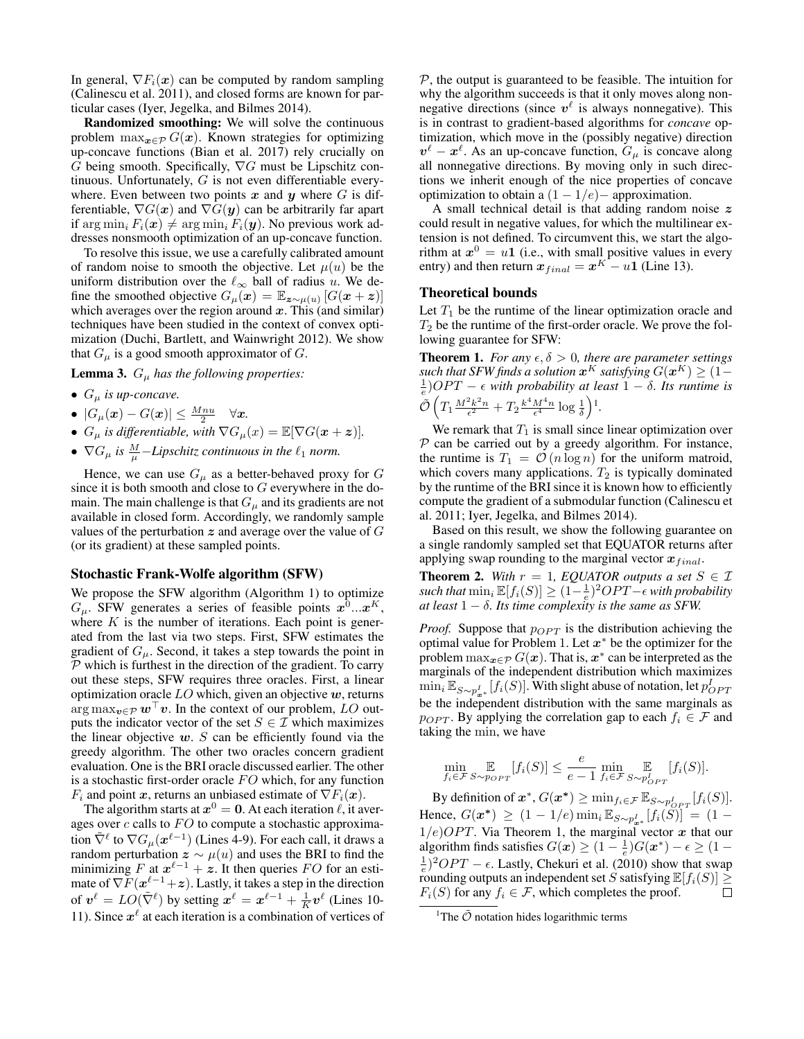In general,  $\nabla F_i(x)$  can be computed by random sampling (Calinescu et al. 2011), and closed forms are known for particular cases (Iyer, Jegelka, and Bilmes 2014).

Randomized smoothing: We will solve the continuous problem  $\max_{\mathbf{x} \in \mathcal{P}} G(\mathbf{x})$ . Known strategies for optimizing up-concave functions (Bian et al. 2017) rely crucially on G being smooth. Specifically,  $\nabla G$  must be Lipschitz continuous. Unfortunately, G is not even differentiable everywhere. Even between two points  $x$  and  $y$  where  $G$  is differentiable,  $\nabla G(x)$  and  $\nabla G(y)$  can be arbitrarily far apart if  $\arg \min_i F_i(\boldsymbol{x}) \neq \arg \min_i F_i(\boldsymbol{y})$ . No previous work addresses nonsmooth optimization of an up-concave function.

To resolve this issue, we use a carefully calibrated amount of random noise to smooth the objective. Let  $\mu(u)$  be the uniform distribution over the  $\ell_{\infty}$  ball of radius u. We define the smoothed objective  $G_{\mu}(\mathbf{x}) = \mathbb{E}_{\mathbf{z} \sim \mu(u)} [G(\mathbf{x} + \mathbf{z})]$ which averages over the region around  $x$ . This (and similar) techniques have been studied in the context of convex optimization (Duchi, Bartlett, and Wainwright 2012). We show that  $G_{\mu}$  is a good smooth approximator of G.

**Lemma 3.**  $G_{\mu}$  *has the following properties:* 

- $G_{\mu}$  *is up-concave.*
- $\bullet$   $|G_{\mu}(\boldsymbol{x}) G(\boldsymbol{x})| \leq \frac{M n u}{2}$   $\forall \boldsymbol{x}$ .
- $G_{\mu}$  *is differentiable, with*  $\nabla G_{\mu}(x) = \mathbb{E}[\nabla G(x+z)].$
- $\nabla G_{\mu}$  is  $\frac{M}{\mu}$ -Lipschitz continuous in the  $\ell_1$  norm.

Hence, we can use  $G_{\mu}$  as a better-behaved proxy for G since it is both smooth and close to  $G$  everywhere in the domain. The main challenge is that  $G_{\mu}$  and its gradients are not available in closed form. Accordingly, we randomly sample values of the perturbation  $z$  and average over the value of  $G$ (or its gradient) at these sampled points.

#### Stochastic Frank-Wolfe algorithm (SFW)

We propose the SFW algorithm (Algorithm 1) to optimize  $G_{\mu}$ . SFW generates a series of feasible points  $x^0...x^K$ , where  $K$  is the number of iterations. Each point is generated from the last via two steps. First, SFW estimates the gradient of  $G_{\mu}$ . Second, it takes a step towards the point in  $P$  which is furthest in the direction of the gradient. To carry out these steps, SFW requires three oracles. First, a linear optimization oracle  $LO$  which, given an objective  $w$ , returns arg max $v \in \mathcal{P}$  w<sup> $\mid v$ </sup>. In the context of our problem, LO outputs the indicator vector of the set  $S \in \mathcal{I}$  which maximizes the linear objective  $w$ . S can be efficiently found via the greedy algorithm. The other two oracles concern gradient evaluation. One is the BRI oracle discussed earlier. The other is a stochastic first-order oracle  $FO$  which, for any function  $F_i$  and point x, returns an unbiased estimate of  $\nabla F_i(\boldsymbol{x})$ .

The algorithm starts at  $x^0 = 0$ . At each iteration  $\ell$ , it averages over  $c$  calls to  $FO$  to compute a stochastic approximation  $\tilde{\nabla}^{\ell}$  to  $\nabla G_{\mu}(\boldsymbol{x}^{\ell-1})$  (Lines 4-9). For each call, it draws a random perturbation  $z \sim \mu(u)$  and uses the BRI to find the minimizing  $F$  at  $x^{\ell-1} + z$ . It then queries  $FO$  for an estimate of  $\nabla F(x^{\ell-1}+z)$ . Lastly, it takes a step in the direction of  $v^{\ell} = LO(\tilde{\nabla}^{\ell})$  by setting  $x^{\ell} = x^{\ell-1} + \frac{1}{K}v^{\ell}$  (Lines 10-11). Since  $x^{\ell}$  at each iteration is a combination of vertices of

 $P$ , the output is guaranteed to be feasible. The intuition for why the algorithm succeeds is that it only moves along nonnegative directions (since  $v^{\ell}$  is always nonnegative). This is in contrast to gradient-based algorithms for *concave* optimization, which move in the (possibly negative) direction  $v^{\ell} - x^{\ell}$ . As an up-concave function,  $G_{\mu}$  is concave along all nonnegative directions. By moving only in such directions we inherit enough of the nice properties of concave optimization to obtain a  $(1 - 1/e)$  – approximation.

A small technical detail is that adding random noise  $z$ could result in negative values, for which the multilinear extension is not defined. To circumvent this, we start the algorithm at  $x^0 = u1$  (i.e., with small positive values in every entry) and then return  $x_{final} = x^{K} - u \mathbf{1}$  (Line 13).

#### Theoretical bounds

Let  $T_1$  be the runtime of the linear optimization oracle and  $T_2$  be the runtime of the first-order oracle. We prove the following guarantee for SFW:

**Theorem 1.** *For any*  $\epsilon, \delta > 0$ *, there are parameter settings*  $\mathit{such that}$  SFW finds a solution  $\bm{x}^K$  satisfying  $G(\bm{x}^K) \geq (1-\lambda)$  $\frac{1}{e}$ )*OPT* –  $\epsilon$  with probability at least 1 –  $\delta$ . Its runtime is  $\tilde{\mathcal{O}}\left(T_1 \frac{M^2 k^2 n}{\epsilon^2} + T_2 \frac{k^4 M^4 n}{\epsilon^4} \log \frac{1}{\delta}\right)$ <sup>1</sup>.

We remark that  $T_1$  is small since linear optimization over  $P$  can be carried out by a greedy algorithm. For instance, the runtime is  $T_1 = \mathcal{O}(n \log n)$  for the uniform matroid, which covers many applications.  $T_2$  is typically dominated by the runtime of the BRI since it is known how to efficiently compute the gradient of a submodular function (Calinescu et al. 2011; Iyer, Jegelka, and Bilmes 2014).

Based on this result, we show the following guarantee on a single randomly sampled set that EQUATOR returns after applying swap rounding to the marginal vector  $x_{final}$ .

**Theorem 2.** With  $r = 1$ , EQUATOR outputs a set  $S \in \mathcal{I}$  $\textit{such that} \min_i \mathbb{E}[f_i(S)] \geq (\overline{1} - \frac{1}{e})^2 OPT - \epsilon \text{ with probability }$ *at least*  $1 - \delta$ *. Its time complexity is the same as SFW.* 

*Proof.* Suppose that  $p_{OPT}$  is the distribution achieving the optimal value for Problem 1. Let  $x^*$  be the optimizer for the problem  $\max_{\bm{x} \in \mathcal{P}} G(\bm{x})$ . That is,  $\bm{x}^*$  can be interpreted as the marginals of the independent distribution which maximizes  $\min_i \mathbb{E}_{S \sim p_{\bm{x}^*}^I}[f_i(S)]$ . With slight abuse of notation, let  $p_{OPT}^I$ be the independent distribution with the same marginals as  $p_{OPT}$ . By applying the correlation gap to each  $f_i \in \mathcal{F}$  and taking the min, we have

$$
\min_{f_i \in \mathcal{F}} \mathop{\mathbb{E}}_{S \sim p_{OPT}} [f_i(S)] \le \frac{e}{e-1} \min_{f_i \in \mathcal{F}} \mathop{\mathbb{E}}_{S \sim p_{OPT}^f} [f_i(S)].
$$

By definition of  $x^*$ ,  $G(x^*) \ge \min_{f_i \in \mathcal{F}} \mathbb{E}_{S \sim p_{OPT}^I}[f_i(S)].$ Hence,  $G(\mathbf{x}^*) \geq (1 - 1/e) \min_i \mathbb{E}_{S \sim p_{\mathbf{x}^*}^I} [f_i(S)] = (1 1/e)$ OPT. Via Theorem 1, the marginal vector x that our algorithm finds satisfies  $G(\mathbf{x}) \geq (1 - \frac{1}{e})G(\mathbf{x}^*) - \epsilon \geq (1 - \frac{1}{e})G(\mathbf{x}^*)$  $\frac{1}{e}$ )<sup>2</sup>OPT –  $\epsilon$ . Lastly, Chekuri et al. (2010) show that swap rounding outputs an independent set S satisfying  $\mathbb{E}[f_i(S)] \ge$  $F_i(S)$  for any  $f_i \in \mathcal{F}$ , which completes the proof.

<sup>&</sup>lt;sup>1</sup>The  $\tilde{\mathcal{O}}$  notation hides logarithmic terms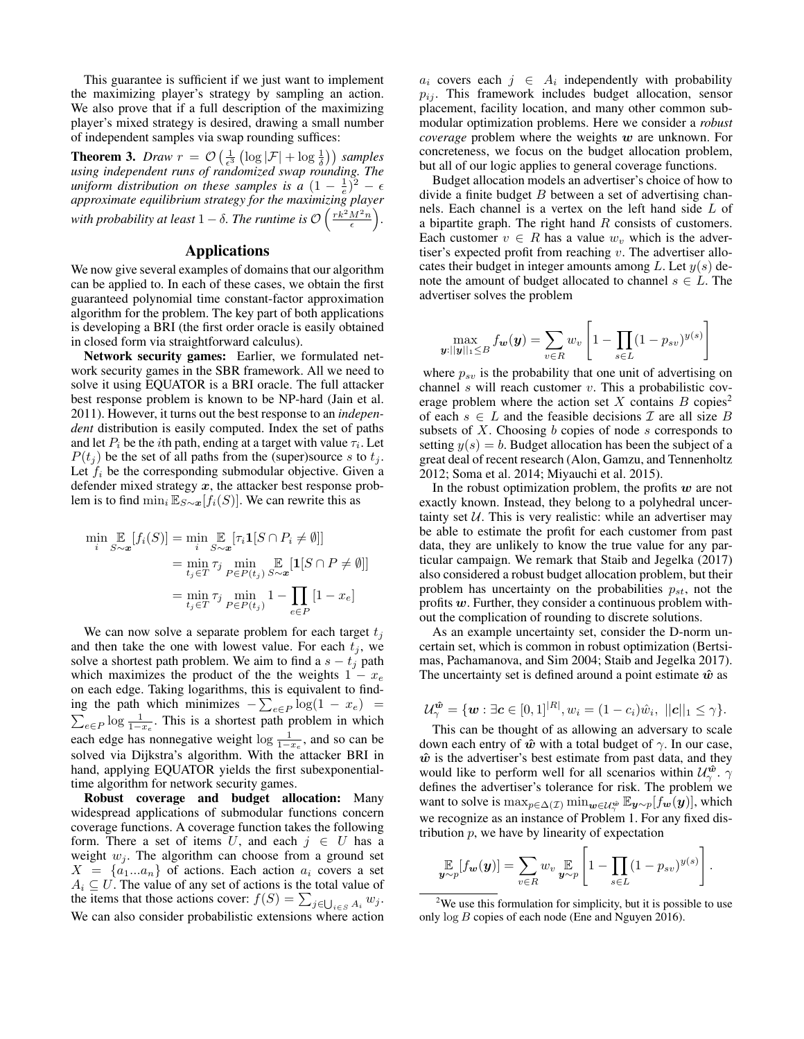This guarantee is sufficient if we just want to implement the maximizing player's strategy by sampling an action. We also prove that if a full description of the maximizing player's mixed strategy is desired, drawing a small number of independent samples via swap rounding suffices:

**Theorem 3.** *Draw*  $r = O\left(\frac{1}{\epsilon^3}\left(\log |\mathcal{F}| + \log \frac{1}{\delta}\right)\right)$  *samples using independent runs of randomized swap rounding. The uniform distribution on these samples is a*  $(1 - \frac{1}{e})^2 - \epsilon$ *approximate equilibrium strategy for the maximizing player* with probability at least  $1 - \delta$ . The runtime is  $\mathcal{O}\left(\frac{rk^2M^2n}{\epsilon}\right)$ .

## Applications

We now give several examples of domains that our algorithm can be applied to. In each of these cases, we obtain the first guaranteed polynomial time constant-factor approximation algorithm for the problem. The key part of both applications is developing a BRI (the first order oracle is easily obtained in closed form via straightforward calculus).

Network security games: Earlier, we formulated network security games in the SBR framework. All we need to solve it using EQUATOR is a BRI oracle. The full attacker best response problem is known to be NP-hard (Jain et al. 2011). However, it turns out the best response to an *independent* distribution is easily computed. Index the set of paths and let  $P_i$  be the *i*th path, ending at a target with value  $\tau_i$ . Let  $P(t_j)$  be the set of all paths from the (super)source s to  $t_j$ . Let  $f_i$  be the corresponding submodular objective. Given a defender mixed strategy  $x$ , the attacker best response problem is to find  $\min_i \mathbb{E}_{S \sim \boldsymbol{x}}[f_i(S)]$ . We can rewrite this as

$$
\min_{i} \mathop{\mathbb{E}}_{S \sim \mathbf{x}} [f_i(S)] = \min_{i} \mathop{\mathbb{E}}_{S \sim \mathbf{x}} [\tau_i \mathbf{1}[S \cap P_i \neq \emptyset]]
$$

$$
= \min_{t_j \in T} \tau_j \min_{P \in P(t_j)} \mathop{\mathbb{E}}_{S \sim \mathbf{x}} [\mathbf{1}[S \cap P \neq \emptyset]]
$$

$$
= \min_{t_j \in T} \tau_j \min_{P \in P(t_j)} 1 - \prod_{e \in P} [1 - x_e]
$$

We can now solve a separate problem for each target  $t_i$ and then take the one with lowest value. For each  $t_i$ , we solve a shortest path problem. We aim to find a  $s - t_j$  path which maximizes the product of the the weights  $1 - x_e$ on each edge. Taking logarithms, this is equivalent to finding the path which minimizes  $-\sum_{e \in P} \log(1 - x_e)$  $\sum_{e \in P} \log \frac{1}{1-x_e}$ . This is a shortest path problem in which each edge has nonnegative weight  $\log \frac{1}{1-x_e}$ , and so can be solved via Dijkstra's algorithm. With the attacker BRI in hand, applying EQUATOR yields the first subexponentialtime algorithm for network security games.

Robust coverage and budget allocation: Many widespread applications of submodular functions concern coverage functions. A coverage function takes the following form. There a set of items U, and each  $j \in U$  has a weight  $w_j$ . The algorithm can choose from a ground set  $X = \{a_1...a_n\}$  of actions. Each action  $a_i$  covers a set  $A_i \subseteq U$ . The value of any set of actions is the total value of the items that those actions cover:  $f(S) = \sum_{j \in \bigcup_{i \in S} A_i} w_j$ . We can also consider probabilistic extensions where action

 $a_i$  covers each  $j \in A_i$  independently with probability  $p_{ij}$ . This framework includes budget allocation, sensor placement, facility location, and many other common submodular optimization problems. Here we consider a *robust coverage* problem where the weights w are unknown. For concreteness, we focus on the budget allocation problem, but all of our logic applies to general coverage functions.

Budget allocation models an advertiser's choice of how to divide a finite budget  $B$  between a set of advertising channels. Each channel is a vertex on the left hand side L of a bipartite graph. The right hand  $R$  consists of customers. Each customer  $v \in R$  has a value  $w_v$  which is the advertiser's expected profit from reaching  $v$ . The advertiser allocates their budget in integer amounts among L. Let  $y(s)$  denote the amount of budget allocated to channel  $s \in L$ . The advertiser solves the problem

$$
\max_{\boldsymbol{y}:||\boldsymbol{y}||_1\leq B} f_{\boldsymbol{w}}(\boldsymbol{y}) = \sum_{v\in R} w_v \left[1 - \prod_{s\in L} (1 - p_{sv})^{y(s)}\right]
$$

where  $p_{sv}$  is the probability that one unit of advertising on channel  $s$  will reach customer  $v$ . This a probabilistic coverage problem where the action set X contains  $B$  copies<sup>2</sup> of each  $s \in L$  and the feasible decisions  $\mathcal I$  are all size  $B$ subsets of  $X$ . Choosing  $b$  copies of node  $s$  corresponds to setting  $y(s) = b$ . Budget allocation has been the subject of a great deal of recent research (Alon, Gamzu, and Tennenholtz 2012; Soma et al. 2014; Miyauchi et al. 2015).

In the robust optimization problem, the profits  $w$  are not exactly known. Instead, they belong to a polyhedral uncertainty set  $U$ . This is very realistic: while an advertiser may be able to estimate the profit for each customer from past data, they are unlikely to know the true value for any particular campaign. We remark that Staib and Jegelka (2017) also considered a robust budget allocation problem, but their problem has uncertainty on the probabilities  $p_{st}$ , not the profits  $w$ . Further, they consider a continuous problem without the complication of rounding to discrete solutions.

As an example uncertainty set, consider the D-norm uncertain set, which is common in robust optimization (Bertsimas, Pachamanova, and Sim 2004; Staib and Jegelka 2017). The uncertainty set is defined around a point estimate  $\hat{w}$  as

$$
\mathcal{U}_{\gamma}^{\hat{\bm{w}}} = \{ \bm{w} : \exists \bm{c} \in [0,1]^{|R|}, w_i = (1-c_i)\hat{w}_i, \ ||\bm{c}||_1 \leq \gamma \}.
$$

This can be thought of as allowing an adversary to scale down each entry of  $\hat{w}$  with a total budget of  $\gamma$ . In our case,  $\hat{w}$  is the advertiser's best estimate from past data, and they would like to perform well for all scenarios within  $\mathcal{U}_{\gamma}^{\hat{\bm{w}}}$ . defines the advertiser's tolerance for risk. The problem we want to solve is  $\max_{p \in \Delta(\mathcal{I})} \min_{\bm{w} \in \mathcal{U}^{\hat{\bm{w}}}_{\bm{\gamma}}} \mathbb{E}_{\bm{y} \sim p}[f_{\bm{w}}(\bm{y})],$  which we recognize as an instance of Problem 1. For any fixed distribution  $p$ , we have by linearity of expectation

$$
\mathop{\mathbb{E}}_{\boldsymbol{y}\sim p}[f_{\boldsymbol{w}}(\boldsymbol{y})] = \sum_{v\in R} w_v \mathop{\mathbb{E}}_{\boldsymbol{y}\sim p} \left[1 - \prod_{s\in L} (1 - p_{sv})^{y(s)}\right].
$$

<sup>&</sup>lt;sup>2</sup>We use this formulation for simplicity, but it is possible to use only log B copies of each node (Ene and Nguyen 2016).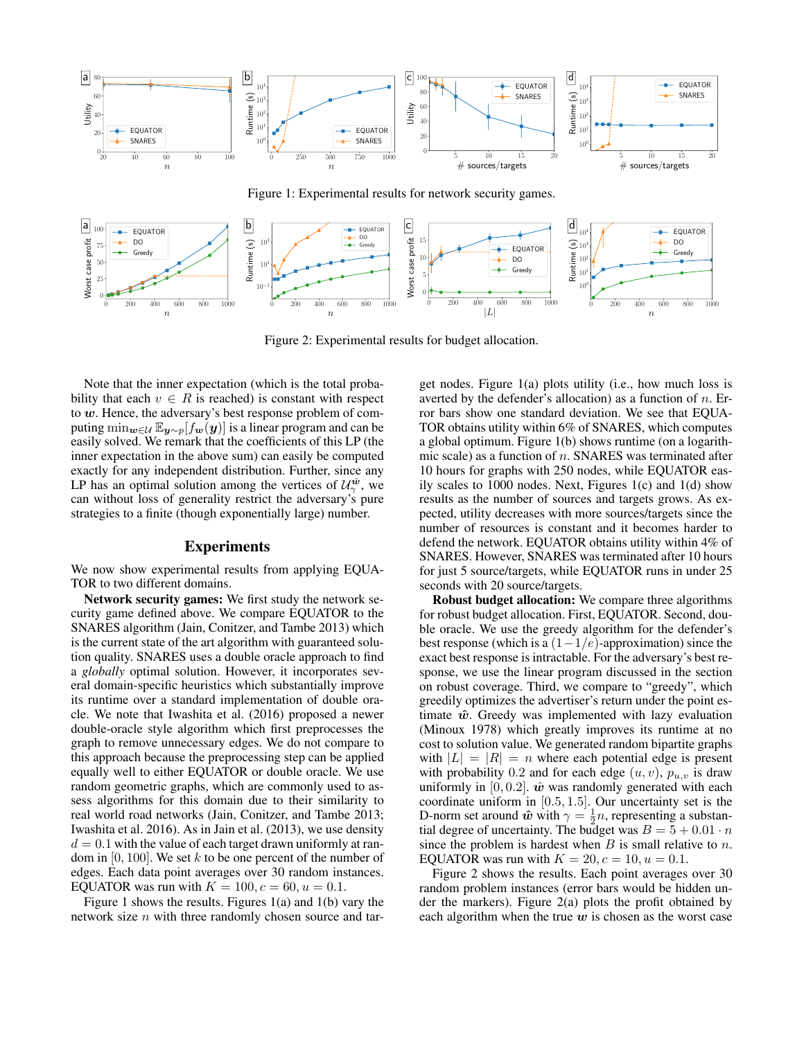

Figure 2: Experimental results for budget allocation.

Note that the inner expectation (which is the total probability that each  $v \in R$  is reached) is constant with respect to  $w$ . Hence, the adversary's best response problem of computing  $\min_{\mathbf{w}\in\mathcal{U}} \mathbb{E}_{\mathbf{y}\sim p}[f_{\mathbf{w}}(\mathbf{y})]$  is a linear program and can be easily solved. We remark that the coefficients of this LP (the inner expectation in the above sum) can easily be computed exactly for any independent distribution. Further, since any LP has an optimal solution among the vertices of  $\mathcal{U}_{\gamma}^{\hat{\boldsymbol{\omega}}}$ , we can without loss of generality restrict the adversary's pure strategies to a finite (though exponentially large) number.

## Experiments

We now show experimental results from applying EQUA-TOR to two different domains.

Network security games: We first study the network security game defined above. We compare EQUATOR to the SNARES algorithm (Jain, Conitzer, and Tambe 2013) which is the current state of the art algorithm with guaranteed solution quality. SNARES uses a double oracle approach to find a *globally* optimal solution. However, it incorporates several domain-specific heuristics which substantially improve its runtime over a standard implementation of double oracle. We note that Iwashita et al. (2016) proposed a newer double-oracle style algorithm which first preprocesses the graph to remove unnecessary edges. We do not compare to this approach because the preprocessing step can be applied equally well to either EQUATOR or double oracle. We use random geometric graphs, which are commonly used to assess algorithms for this domain due to their similarity to real world road networks (Jain, Conitzer, and Tambe 2013; Iwashita et al. 2016). As in Jain et al. (2013), we use density  $d = 0.1$  with the value of each target drawn uniformly at random in  $[0, 100]$ . We set k to be one percent of the number of edges. Each data point averages over 30 random instances. EQUATOR was run with  $K = 100$ ,  $c = 60$ ,  $u = 0.1$ .

Figure 1 shows the results. Figures 1(a) and 1(b) vary the network size  $n$  with three randomly chosen source and target nodes. Figure 1(a) plots utility (i.e., how much loss is averted by the defender's allocation) as a function of  $n$ . Error bars show one standard deviation. We see that EQUA-TOR obtains utility within 6% of SNARES, which computes a global optimum. Figure 1(b) shows runtime (on a logarithmic scale) as a function of  $n$ . SNARES was terminated after 10 hours for graphs with 250 nodes, while EQUATOR easily scales to 1000 nodes. Next, Figures 1(c) and 1(d) show results as the number of sources and targets grows. As expected, utility decreases with more sources/targets since the number of resources is constant and it becomes harder to defend the network. EQUATOR obtains utility within 4% of SNARES. However, SNARES was terminated after 10 hours for just 5 source/targets, while EQUATOR runs in under 25 seconds with 20 source/targets.

Robust budget allocation: We compare three algorithms for robust budget allocation. First, EQUATOR. Second, double oracle. We use the greedy algorithm for the defender's best response (which is a  $(1-1/e)$ -approximation) since the exact best response is intractable. For the adversary's best response, we use the linear program discussed in the section on robust coverage. Third, we compare to "greedy", which greedily optimizes the advertiser's return under the point estimate  $\hat{w}$ . Greedy was implemented with lazy evaluation (Minoux 1978) which greatly improves its runtime at no cost to solution value. We generated random bipartite graphs with  $|L| = |R| = n$  where each potential edge is present with probability 0.2 and for each edge  $(u, v)$ ,  $p_{u,v}$  is draw uniformly in [0, 0.2].  $\hat{w}$  was randomly generated with each coordinate uniform in [0.5, 1.5]. Our uncertainty set is the D-norm set around  $\hat{\boldsymbol{w}}$  with  $\gamma = \frac{1}{2}n$ , representing a substantial degree of uncertainty. The budget was  $B = 5 + 0.01 \cdot n$ since the problem is hardest when  $B$  is small relative to  $n$ . EQUATOR was run with  $K = 20$ ,  $c = 10$ ,  $u = 0.1$ .

Figure 2 shows the results. Each point averages over 30 random problem instances (error bars would be hidden under the markers). Figure  $2(a)$  plots the profit obtained by each algorithm when the true  $w$  is chosen as the worst case